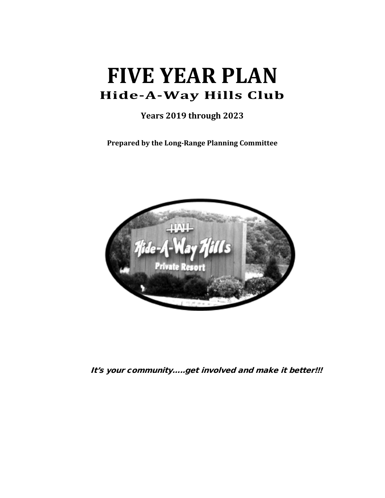# **FIVE YEAR PLAN Hide-A-Way Hills Club**

**Years 2019 through 2023**

**Prepared by the Long-Range Planning Committee** 



It's your community…..get involved and make it better!!!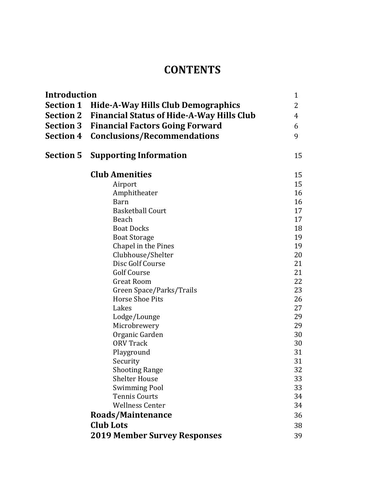# **CONTENTS**

| Introduction     |                                                     | $\mathbf{1}$ |
|------------------|-----------------------------------------------------|--------------|
|                  | <b>Section 1 Hide-A-Way Hills Club Demographics</b> | 2            |
| <b>Section 2</b> | <b>Financial Status of Hide-A-Way Hills Club</b>    | 4            |
| <b>Section 3</b> | <b>Financial Factors Going Forward</b>              | 6            |
| <b>Section 4</b> | <b>Conclusions/Recommendations</b>                  | 9            |
|                  |                                                     |              |
| Section 5        | <b>Supporting Information</b>                       | 15           |
|                  | <b>Club Amenities</b>                               | 15           |
|                  | Airport                                             | 15           |
|                  | Amphitheater                                        | 16           |
|                  | <b>Barn</b>                                         | 16           |
|                  | <b>Basketball Court</b>                             | 17           |
|                  | Beach                                               | 17           |
|                  | <b>Boat Docks</b>                                   | 18           |
|                  | <b>Boat Storage</b>                                 | 19           |
|                  | Chapel in the Pines                                 | 19           |
|                  | Clubhouse/Shelter                                   | 20           |
|                  | Disc Golf Course                                    | 21           |
|                  | <b>Golf Course</b>                                  | 21           |
|                  | <b>Great Room</b>                                   | 22           |
|                  | Green Space/Parks/Trails<br><b>Horse Shoe Pits</b>  | 23           |
|                  | Lakes                                               | 26<br>27     |
|                  | Lodge/Lounge                                        | 29           |
|                  | Microbrewery                                        | 29           |
|                  | Organic Garden                                      | 30           |
|                  | <b>ORV Track</b>                                    | 30           |
|                  | Playground                                          | 31           |
|                  | Security                                            | 31           |
|                  | <b>Shooting Range</b>                               | 32           |
|                  | <b>Shelter House</b>                                | 33           |
|                  | <b>Swimming Pool</b>                                | 33           |
|                  | <b>Tennis Courts</b>                                | 34           |
|                  | <b>Wellness Center</b>                              | 34           |
|                  |                                                     |              |
|                  |                                                     | 36           |
| <b>Club Lots</b> | Roads/Maintenance                                   | 38           |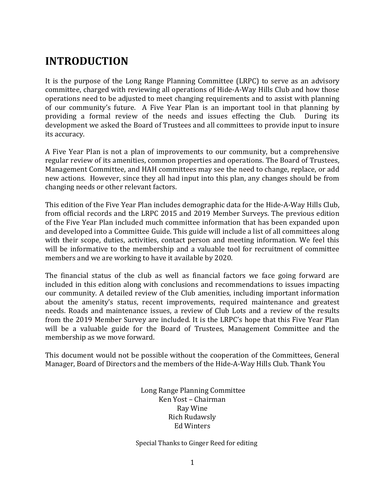# **INTRODUCTION**

It is the purpose of the Long Range Planning Committee (LRPC) to serve as an advisory committee, charged with reviewing all operations of Hide-A-Way Hills Club and how those operations need to be adjusted to meet changing requirements and to assist with planning of our community's future. A Five Year Plan is an important tool in that planning by providing a formal review of the needs and issues effecting the Club. During its development we asked the Board of Trustees and all committees to provide input to insure its accuracy.

A Five Year Plan is not a plan of improvements to our community, but a comprehensive regular review of its amenities, common properties and operations. The Board of Trustees, Management Committee, and HAH committees may see the need to change, replace, or add new actions. However, since they all had input into this plan, any changes should be from changing needs or other relevant factors.

This edition of the Five Year Plan includes demographic data for the Hide-A-Way Hills Club, from official records and the LRPC 2015 and 2019 Member Surveys. The previous edition of the Five Year Plan included much committee information that has been expanded upon and developed into a Committee Guide. This guide will include a list of all committees along with their scope, duties, activities, contact person and meeting information. We feel this will be informative to the membership and a valuable tool for recruitment of committee members and we are working to have it available by 2020.

The financial status of the club as well as financial factors we face going forward are included in this edition along with conclusions and recommendations to issues impacting our community. A detailed review of the Club amenities, including important information about the amenity's status, recent improvements, required maintenance and greatest needs. Roads and maintenance issues, a review of Club Lots and a review of the results from the 2019 Member Survey are included. It is the LRPC's hope that this Five Year Plan will be a valuable guide for the Board of Trustees, Management Committee and the membership as we move forward.

This document would not be possible without the cooperation of the Committees, General Manager, Board of Directors and the members of the Hide-A-Way Hills Club. Thank You

> Long Range Planning Committee Ken Yost – Chairman Ray Wine Rich Rudawsly Ed Winters

Special Thanks to Ginger Reed for editing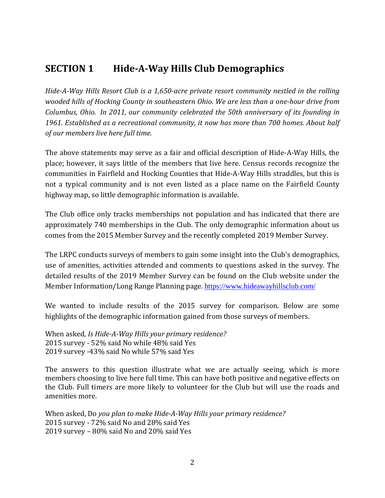### **SECTION 1 Hide-A-Way Hills Club Demographics**

*Hide-A-Way Hills Resort Club is a 1,650-acre private resort community nestled in the rolling wooded hills of Hocking County in southeastern Ohio. We are less than a one-hour drive from Columbus, Ohio. In 2011, our community celebrated the 50th anniversary of its founding in 1961. Established as a recreational community, it now has more than 700 homes. About half of our members live here full time.* 

The above statements may serve as a fair and official description of Hide-A-Way Hills, the place; however, it says little of the members that live here. Census records recognize the communities in Fairfield and Hocking Counties that Hide-A-Way Hills straddles, but this is not a typical community and is not even listed as a place name on the Fairfield County highway map, so little demographic information is available.

The Club office only tracks memberships not population and has indicated that there are approximately 740 memberships in the Club. The only demographic information about us comes from the 2015 Member Survey and the recently completed 2019 Member Survey.

The LRPC conducts surveys of members to gain some insight into the Club's demographics, use of amenities, activities attended and comments to questions asked in the survey. The detailed results of the 2019 Member Survey can be found on the Club website under the Member Information/Long Range Planning page. <https://www.hideawayhillsclub.com/>

We wanted to include results of the 2015 survey for comparison. Below are some highlights of the demographic information gained from those surveys of members.

When asked, *Is Hide-A-Way Hills your primary residence?*  2015 survey - 52% said No while 48% said Yes 2019 survey -43% said No while 57% said Yes

The answers to this question illustrate what we are actually seeing, which is more members choosing to live here full time. This can have both positive and negative effects on the Club. Full timers are more likely to volunteer for the Club but will use the roads and amenities more.

When asked, Do *you plan to make Hide-A-Way Hills your primary residence?*  2015 survey *-* 72% said No and 28% said Yes 2019 survey – 80% said No and 20% said Yes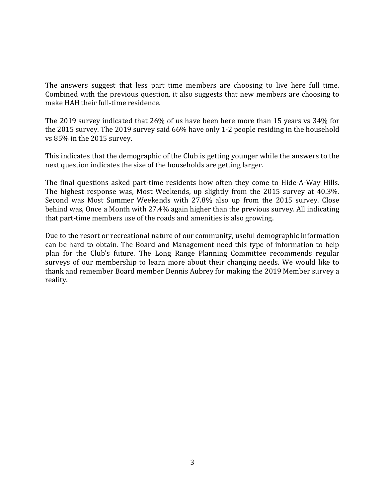The answers suggest that less part time members are choosing to live here full time. Combined with the previous question, it also suggests that new members are choosing to make HAH their full-time residence.

The 2019 survey indicated that 26% of us have been here more than 15 years vs 34% for the 2015 survey. The 2019 survey said 66% have only 1-2 people residing in the household vs 85% in the 2015 survey.

This indicates that the demographic of the Club is getting younger while the answers to the next question indicates the size of the households are getting larger.

The final questions asked part-time residents how often they come to Hide-A-Way Hills. The highest response was, Most Weekends, up slightly from the 2015 survey at 40.3%. Second was Most Summer Weekends with 27.8% also up from the 2015 survey. Close behind was, Once a Month with 27.4% again higher than the previous survey. All indicating that part-time members use of the roads and amenities is also growing.

Due to the resort or recreational nature of our community, useful demographic information can be hard to obtain. The Board and Management need this type of information to help plan for the Club's future. The Long Range Planning Committee recommends regular surveys of our membership to learn more about their changing needs. We would like to thank and remember Board member Dennis Aubrey for making the 2019 Member survey a reality.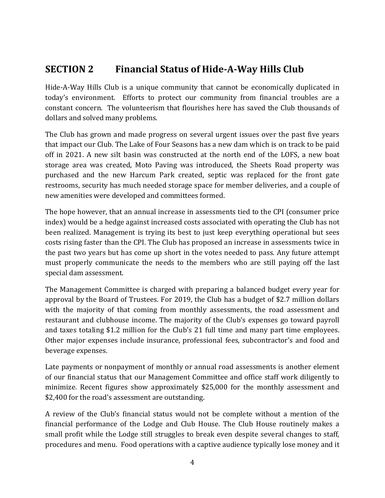### **SECTION 2 Financial Status of Hide-A-Way Hills Club**

Hide-A-Way Hills Club is a unique community that cannot be economically duplicated in today's environment. Efforts to protect our community from financial troubles are a constant concern. The volunteerism that flourishes here has saved the Club thousands of dollars and solved many problems.

The Club has grown and made progress on several urgent issues over the past five years that impact our Club. The Lake of Four Seasons has a new dam which is on track to be paid off in 2021. A new silt basin was constructed at the north end of the LOFS, a new boat storage area was created, Moto Paving was introduced, the Sheets Road property was purchased and the new Harcum Park created, septic was replaced for the front gate restrooms, security has much needed storage space for member deliveries, and a couple of new amenities were developed and committees formed.

The hope however, that an annual increase in assessments tied to the CPI (consumer price index) would be a hedge against increased costs associated with operating the Club has not been realized. Management is trying its best to just keep everything operational but sees costs rising faster than the CPI. The Club has proposed an increase in assessments twice in the past two years but has come up short in the votes needed to pass. Any future attempt must properly communicate the needs to the members who are still paying off the last special dam assessment.

The Management Committee is charged with preparing a balanced budget every year for approval by the Board of Trustees. For 2019, the Club has a budget of \$2.7 million dollars with the majority of that coming from monthly assessments, the road assessment and restaurant and clubhouse income. The majority of the Club's expenses go toward payroll and taxes totaling \$1.2 million for the Club's 21 full time and many part time employees. Other major expenses include insurance, professional fees, subcontractor's and food and beverage expenses.

Late payments or nonpayment of monthly or annual road assessments is another element of our financial status that our Management Committee and office staff work diligently to minimize. Recent figures show approximately \$25,000 for the monthly assessment and \$2,400 for the road's assessment are outstanding.

A review of the Club's financial status would not be complete without a mention of the financial performance of the Lodge and Club House. The Club House routinely makes a small profit while the Lodge still struggles to break even despite several changes to staff, procedures and menu. Food operations with a captive audience typically lose money and it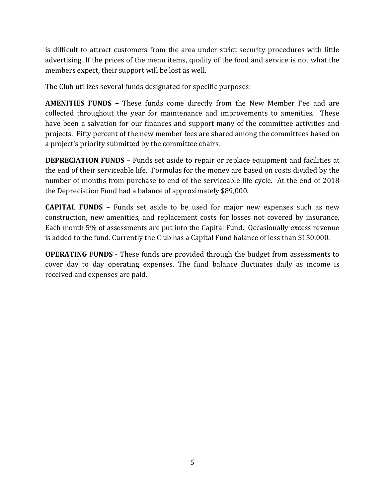is difficult to attract customers from the area under strict security procedures with little advertising. If the prices of the menu items, quality of the food and service is not what the members expect, their support will be lost as well.

The Club utilizes several funds designated for specific purposes:

**AMENITIES FUNDS –** These funds come directly from the New Member Fee and are collected throughout the year for maintenance and improvements to amenities. These have been a salvation for our finances and support many of the committee activities and projects. Fifty percent of the new member fees are shared among the committees based on a project's priority submitted by the committee chairs.

**DEPRECIATION FUNDS** – Funds set aside to repair or replace equipment and facilities at the end of their serviceable life. Formulas for the money are based on costs divided by the number of months from purchase to end of the serviceable life cycle. At the end of 2018 the Depreciation Fund had a balance of approximately \$89,000.

**CAPITAL FUNDS** – Funds set aside to be used for major new expenses such as new construction, new amenities, and replacement costs for losses not covered by insurance. Each month 5% of assessments are put into the Capital Fund. Occasionally excess revenue is added to the fund. Currently the Club has a Capital Fund balance of less than \$150,000.

**OPERATING FUNDS** - These funds are provided through the budget from assessments to cover day to day operating expenses. The fund balance fluctuates daily as income is received and expenses are paid.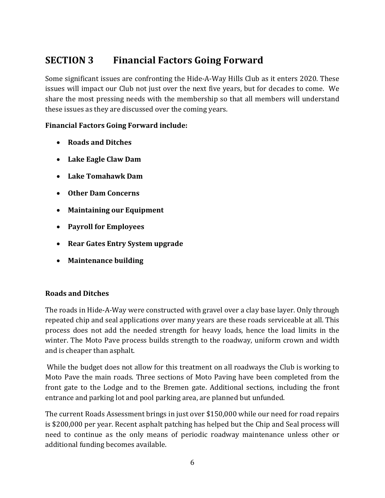### **SECTION 3 Financial Factors Going Forward**

Some significant issues are confronting the Hide-A-Way Hills Club as it enters 2020. These issues will impact our Club not just over the next five years, but for decades to come. We share the most pressing needs with the membership so that all members will understand these issues as they are discussed over the coming years.

#### **Financial Factors Going Forward include:**

- **Roads and Ditches**
- **Lake Eagle Claw Dam**
- **Lake Tomahawk Dam**
- **Other Dam Concerns**
- **Maintaining our Equipment**
- **Payroll for Employees**
- **Rear Gates Entry System upgrade**
- **Maintenance building**

#### **Roads and Ditches**

The roads in Hide-A-Way were constructed with gravel over a clay base layer. Only through repeated chip and seal applications over many years are these roads serviceable at all. This process does not add the needed strength for heavy loads, hence the load limits in the winter. The Moto Pave process builds strength to the roadway, uniform crown and width and is cheaper than asphalt.

While the budget does not allow for this treatment on all roadways the Club is working to Moto Pave the main roads. Three sections of Moto Paving have been completed from the front gate to the Lodge and to the Bremen gate. Additional sections, including the front entrance and parking lot and pool parking area, are planned but unfunded.

The current Roads Assessment brings in just over \$150,000 while our need for road repairs is \$200,000 per year. Recent asphalt patching has helped but the Chip and Seal process will need to continue as the only means of periodic roadway maintenance unless other or additional funding becomes available.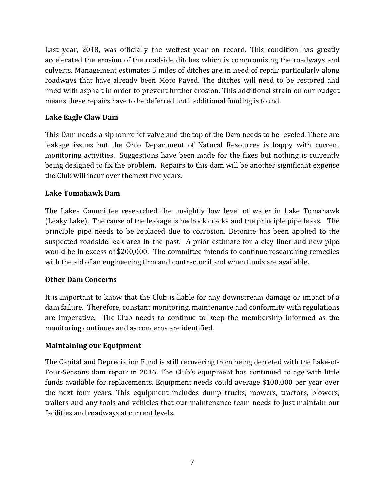Last year, 2018, was officially the wettest year on record. This condition has greatly accelerated the erosion of the roadside ditches which is compromising the roadways and culverts. Management estimates 5 miles of ditches are in need of repair particularly along roadways that have already been Moto Paved. The ditches will need to be restored and lined with asphalt in order to prevent further erosion. This additional strain on our budget means these repairs have to be deferred until additional funding is found.

#### **Lake Eagle Claw Dam**

This Dam needs a siphon relief valve and the top of the Dam needs to be leveled. There are leakage issues but the Ohio Department of Natural Resources is happy with current monitoring activities. Suggestions have been made for the fixes but nothing is currently being designed to fix the problem. Repairs to this dam will be another significant expense the Club will incur over the next five years.

#### **Lake Tomahawk Dam**

The Lakes Committee researched the unsightly low level of water in Lake Tomahawk (Leaky Lake). The cause of the leakage is bedrock cracks and the principle pipe leaks. The principle pipe needs to be replaced due to corrosion. Betonite has been applied to the suspected roadside leak area in the past. A prior estimate for a clay liner and new pipe would be in excess of \$200,000. The committee intends to continue researching remedies with the aid of an engineering firm and contractor if and when funds are available.

#### **Other Dam Concerns**

It is important to know that the Club is liable for any downstream damage or impact of a dam failure. Therefore, constant monitoring, maintenance and conformity with regulations are imperative. The Club needs to continue to keep the membership informed as the monitoring continues and as concerns are identified.

#### **Maintaining our Equipment**

The Capital and Depreciation Fund is still recovering from being depleted with the Lake-of-Four-Seasons dam repair in 2016. The Club's equipment has continued to age with little funds available for replacements. Equipment needs could average \$100,000 per year over the next four years. This equipment includes dump trucks, mowers, tractors, blowers, trailers and any tools and vehicles that our maintenance team needs to just maintain our facilities and roadways at current levels.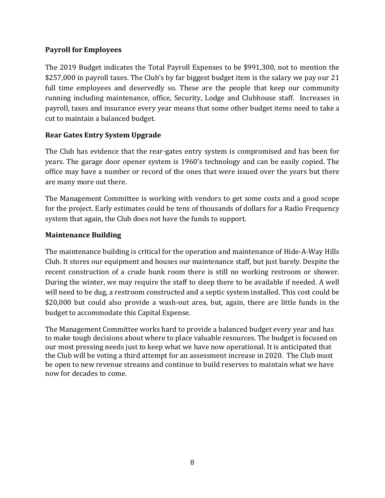#### **Payroll for Employees**

The 2019 Budget indicates the Total Payroll Expenses to be \$991,300, not to mention the \$257,000 in payroll taxes. The Club's by far biggest budget item is the salary we pay our 21 full time employees and deservedly so. These are the people that keep our community running including maintenance, office, Security, Lodge and Clubhouse staff. Increases in payroll, taxes and insurance every year means that some other budget items need to take a cut to maintain a balanced budget.

#### **Rear Gates Entry System Upgrade**

The Club has evidence that the rear-gates entry system is compromised and has been for years. The garage door opener system is 1960's technology and can be easily copied. The office may have a number or record of the ones that were issued over the years but there are many more out there.

The Management Committee is working with vendors to get some costs and a good scope for the project. Early estimates could be tens of thousands of dollars for a Radio Frequency system that again, the Club does not have the funds to support.

#### **Maintenance Building**

The maintenance building is critical for the operation and maintenance of Hide-A-Way Hills Club. It stores our equipment and houses our maintenance staff, but just barely. Despite the recent construction of a crude bunk room there is still no working restroom or shower. During the winter, we may require the staff to sleep there to be available if needed. A well will need to be dug, a restroom constructed and a septic system installed. This cost could be \$20,000 but could also provide a wash-out area, but, again, there are little funds in the budget to accommodate this Capital Expense.

The Management Committee works hard to provide a balanced budget every year and has to make tough decisions about where to place valuable resources. The budget is focused on our most pressing needs just to keep what we have now operational. It is anticipated that the Club will be voting a third attempt for an assessment increase in 2020. The Club must be open to new revenue streams and continue to build reserves to maintain what we have now for decades to come.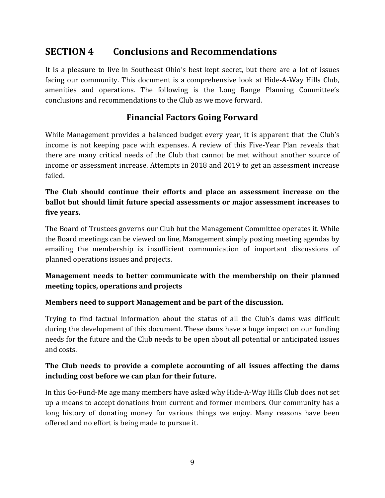### **SECTION 4 Conclusions and Recommendations**

It is a pleasure to live in Southeast Ohio's best kept secret, but there are a lot of issues facing our community. This document is a comprehensive look at Hide-A-Way Hills Club, amenities and operations. The following is the Long Range Planning Committee's conclusions and recommendations to the Club as we move forward.

#### **Financial Factors Going Forward**

While Management provides a balanced budget every year, it is apparent that the Club's income is not keeping pace with expenses. A review of this Five-Year Plan reveals that there are many critical needs of the Club that cannot be met without another source of income or assessment increase. Attempts in 2018 and 2019 to get an assessment increase failed.

#### **The Club should continue their efforts and place an assessment increase on the ballot but should limit future special assessments or major assessment increases to five years.**

The Board of Trustees governs our Club but the Management Committee operates it. While the Board meetings can be viewed on line, Management simply posting meeting agendas by emailing the membership is insufficient communication of important discussions of planned operations issues and projects.

#### **Management needs to better communicate with the membership on their planned meeting topics, operations and projects**

#### **Members need to support Management and be part of the discussion.**

Trying to find factual information about the status of all the Club's dams was difficult during the development of this document. These dams have a huge impact on our funding needs for the future and the Club needs to be open about all potential or anticipated issues and costs.

#### **The Club needs to provide a complete accounting of all issues affecting the dams including cost before we can plan for their future.**

In this Go-Fund-Me age many members have asked why Hide-A-Way Hills Club does not set up a means to accept donations from current and former members. Our community has a long history of donating money for various things we enjoy. Many reasons have been offered and no effort is being made to pursue it.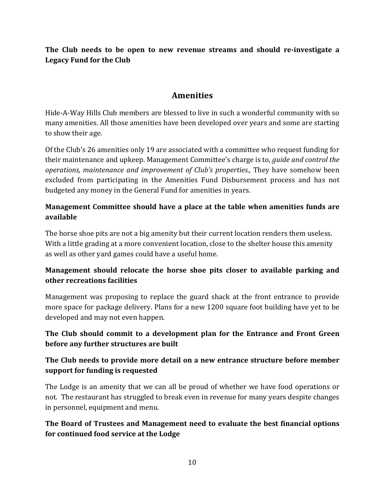**The Club needs to be open to new revenue streams and should re-investigate a Legacy Fund for the Club**

#### **Amenities**

Hide-A-Way Hills Club members are blessed to live in such a wonderful community with so many amenities. All those amenities have been developed over years and some are starting to show their age.

Of the Club's 26 amenities only 19 are associated with a committee who request funding for their maintenance and upkeep. Management Committee's charge is to, *guide and control the operations, maintenance and improvement of Club's properties.,* They have somehow been excluded from participating in the Amenities Fund Disbursement process and has not budgeted any money in the General Fund for amenities in years.

#### **Management Committee should have a place at the table when amenities funds are available**

The horse shoe pits are not a big amenity but their current location renders them useless. With a little grading at a more convenient location, close to the shelter house this amenity as well as other yard games could have a useful home.

#### **Management should relocate the horse shoe pits closer to available parking and other recreations facilities**

Management was proposing to replace the guard shack at the front entrance to provide more space for package delivery. Plans for a new 1200 square foot building have yet to be developed and may not even happen.

#### **The Club should commit to a development plan for the Entrance and Front Green before any further structures are built**

#### **The Club needs to provide more detail on a new entrance structure before member support for funding is requested**

The Lodge is an amenity that we can all be proud of whether we have food operations or not. The restaurant has struggled to break even in revenue for many years despite changes in personnel, equipment and menu.

#### **The Board of Trustees and Management need to evaluate the best financial options for continued food service at the Lodge**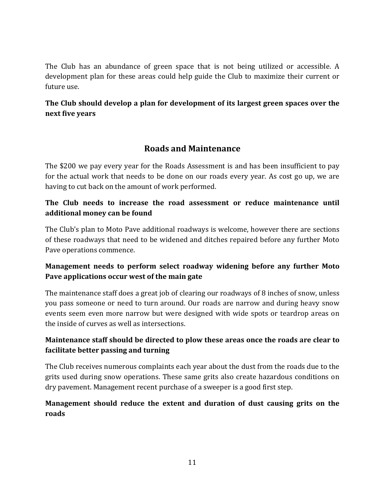The Club has an abundance of green space that is not being utilized or accessible. A development plan for these areas could help guide the Club to maximize their current or future use.

#### **The Club should develop a plan for development of its largest green spaces over the next five years**

#### **Roads and Maintenance**

The \$200 we pay every year for the Roads Assessment is and has been insufficient to pay for the actual work that needs to be done on our roads every year. As cost go up, we are having to cut back on the amount of work performed.

#### **The Club needs to increase the road assessment or reduce maintenance until additional money can be found**

The Club's plan to Moto Pave additional roadways is welcome, however there are sections of these roadways that need to be widened and ditches repaired before any further Moto Pave operations commence.

#### **Management needs to perform select roadway widening before any further Moto Pave applications occur west of the main gate**

The maintenance staff does a great job of clearing our roadways of 8 inches of snow, unless you pass someone or need to turn around. Our roads are narrow and during heavy snow events seem even more narrow but were designed with wide spots or teardrop areas on the inside of curves as well as intersections.

#### **Maintenance staff should be directed to plow these areas once the roads are clear to facilitate better passing and turning**

The Club receives numerous complaints each year about the dust from the roads due to the grits used during snow operations. These same grits also create hazardous conditions on dry pavement. Management recent purchase of a sweeper is a good first step.

#### **Management should reduce the extent and duration of dust causing grits on the roads**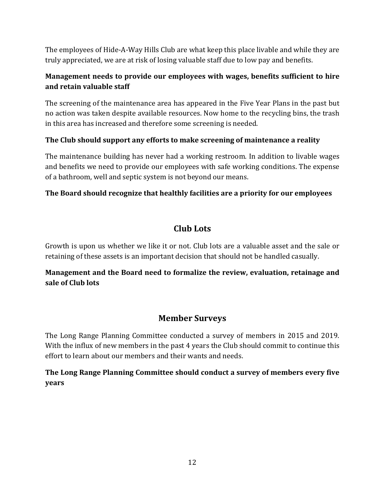The employees of Hide-A-Way Hills Club are what keep this place livable and while they are truly appreciated, we are at risk of losing valuable staff due to low pay and benefits.

#### **Management needs to provide our employees with wages, benefits sufficient to hire and retain valuable staff**

The screening of the maintenance area has appeared in the Five Year Plans in the past but no action was taken despite available resources. Now home to the recycling bins, the trash in this area has increased and therefore some screening is needed.

#### **The Club should support any efforts to make screening of maintenance a reality**

The maintenance building has never had a working restroom. In addition to livable wages and benefits we need to provide our employees with safe working conditions. The expense of a bathroom, well and septic system is not beyond our means.

#### **The Board should recognize that healthly facilities are a priority for our employees**

#### **Club Lots**

Growth is upon us whether we like it or not. Club lots are a valuable asset and the sale or retaining of these assets is an important decision that should not be handled casually.

#### **Management and the Board need to formalize the review, evaluation, retainage and sale of Club lots**

#### **Member Surveys**

The Long Range Planning Committee conducted a survey of members in 2015 and 2019. With the influx of new members in the past 4 years the Club should commit to continue this effort to learn about our members and their wants and needs.

**The Long Range Planning Committee should conduct a survey of members every five years**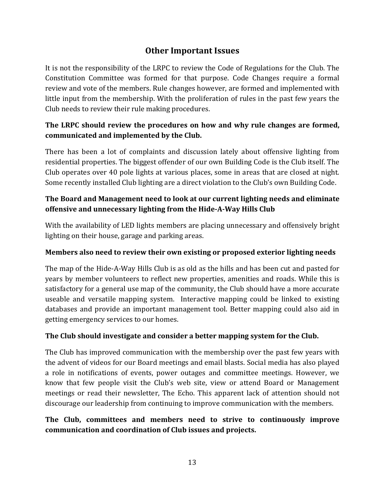#### **Other Important Issues**

It is not the responsibility of the LRPC to review the Code of Regulations for the Club. The Constitution Committee was formed for that purpose. Code Changes require a formal review and vote of the members. Rule changes however, are formed and implemented with little input from the membership. With the proliferation of rules in the past few years the Club needs to review their rule making procedures.

#### **The LRPC should review the procedures on how and why rule changes are formed, communicated and implemented by the Club.**

There has been a lot of complaints and discussion lately about offensive lighting from residential properties. The biggest offender of our own Building Code is the Club itself. The Club operates over 40 pole lights at various places, some in areas that are closed at night. Some recently installed Club lighting are a direct violation to the Club's own Building Code.

#### **The Board and Management need to look at our current lighting needs and eliminate offensive and unnecessary lighting from the Hide-A-Way Hills Club**

With the availability of LED lights members are placing unnecessary and offensively bright lighting on their house, garage and parking areas.

#### **Members also need to review their own existing or proposed exterior lighting needs**

The map of the Hide-A-Way Hills Club is as old as the hills and has been cut and pasted for years by member volunteers to reflect new properties, amenities and roads. While this is satisfactory for a general use map of the community, the Club should have a more accurate useable and versatile mapping system. Interactive mapping could be linked to existing databases and provide an important management tool. Better mapping could also aid in getting emergency services to our homes.

#### **The Club should investigate and consider a better mapping system for the Club.**

The Club has improved communication with the membership over the past few years with the advent of videos for our Board meetings and email blasts. Social media has also played a role in notifications of events, power outages and committee meetings. However, we know that few people visit the Club's web site, view or attend Board or Management meetings or read their newsletter, The Echo. This apparent lack of attention should not discourage our leadership from continuing to improve communication with the members.

#### **The Club, committees and members need to strive to continuously improve communication and coordination of Club issues and projects.**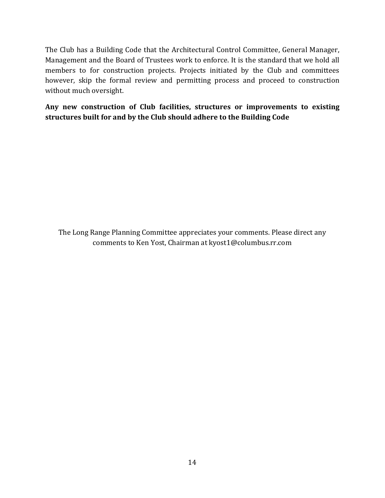The Club has a Building Code that the Architectural Control Committee, General Manager, Management and the Board of Trustees work to enforce. It is the standard that we hold all members to for construction projects. Projects initiated by the Club and committees however, skip the formal review and permitting process and proceed to construction without much oversight.

**Any new construction of Club facilities, structures or improvements to existing structures built for and by the Club should adhere to the Building Code** 

The Long Range Planning Committee appreciates your comments. Please direct any comments to Ken Yost, Chairman at kyost1@columbus.rr.com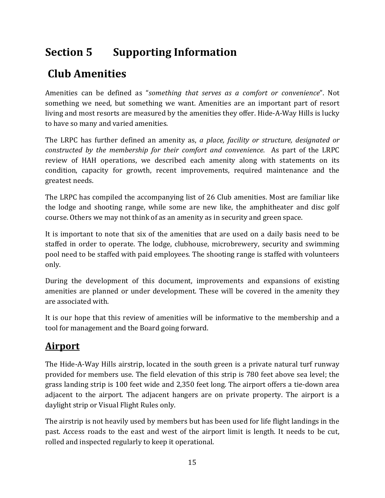# **Section 5 Supporting Information**

# **Club Amenities**

Amenities can be defined as "*something that serves as a comfort or convenience*". Not something we need, but something we want. Amenities are an important part of resort living and most resorts are measured by the amenities they offer. Hide-A-Way Hills is lucky to have so many and varied amenities.

The LRPC has further defined an amenity as, *a place, facility or structure, designated or constructed by the membership for their comfort and convenience*. As part of the LRPC review of HAH operations, we described each amenity along with statements on its condition, capacity for growth, recent improvements, required maintenance and the greatest needs.

The LRPC has compiled the accompanying list of 26 Club amenities. Most are familiar like the lodge and shooting range, while some are new like, the amphitheater and disc golf course. Others we may not think of as an amenity as in security and green space.

It is important to note that six of the amenities that are used on a daily basis need to be staffed in order to operate. The lodge, clubhouse, microbrewery, security and swimming pool need to be staffed with paid employees. The shooting range is staffed with volunteers only.

During the development of this document, improvements and expansions of existing amenities are planned or under development. These will be covered in the amenity they are associated with.

It is our hope that this review of amenities will be informative to the membership and a tool for management and the Board going forward.

# **Airport**

The Hide-A-Way Hills airstrip, located in the south green is a private natural turf runway provided for members use. The field elevation of this strip is 780 feet above sea level; the grass landing strip is 100 feet wide and 2,350 feet long. The airport offers a tie-down area adjacent to the airport. The adjacent hangers are on private property. The airport is a daylight strip or Visual Flight Rules only.

The airstrip is not heavily used by members but has been used for life flight landings in the past. Access roads to the east and west of the airport limit is length. It needs to be cut, rolled and inspected regularly to keep it operational.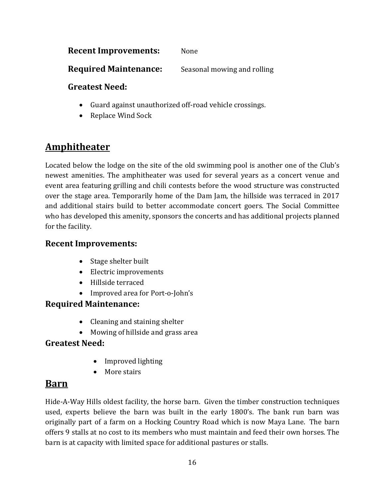#### **Recent Improvements:** None

**Required Maintenance:** Seasonal mowing and rolling

#### **Greatest Need:**

- Guard against unauthorized off-road vehicle crossings.
- Replace Wind Sock

### **Amphitheater**

Located below the lodge on the site of the old swimming pool is another one of the Club's newest amenities. The amphitheater was used for several years as a concert venue and event area featuring grilling and chili contests before the wood structure was constructed over the stage area. Temporarily home of the Dam Jam, the hillside was terraced in 2017 and additional stairs build to better accommodate concert goers. The Social Committee who has developed this amenity, sponsors the concerts and has additional projects planned for the facility.

#### **Recent Improvements:**

- Stage shelter built
- Electric improvements
- Hillside terraced
- Improved area for Port-o-John's

#### **Required Maintenance:**

- Cleaning and staining shelter
- Mowing of hillside and grass area

#### **Greatest Need:**

- Improved lighting
- More stairs

### **Barn**

Hide-A-Way Hills oldest facility, the horse barn. Given the timber construction techniques used, experts believe the barn was built in the early 1800's. The bank run barn was originally part of a farm on a Hocking Country Road which is now Maya Lane. The barn offers 9 stalls at no cost to its members who must maintain and feed their own horses. The barn is at capacity with limited space for additional pastures or stalls.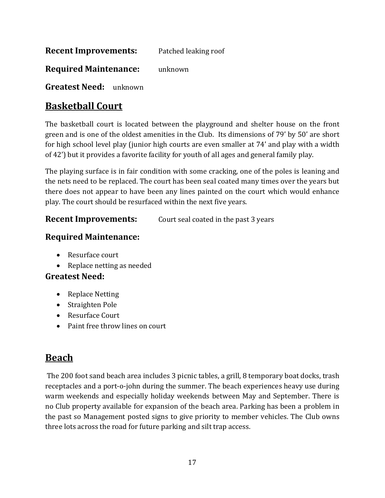**Recent Improvements:** Patched leaking roof

**Required Maintenance:** unknown

**Greatest Need:** unknown

### **Basketball Court**

The basketball court is located between the playground and shelter house on the front green and is one of the oldest amenities in the Club. Its dimensions of 79' by 50' are short for high school level play (junior high courts are even smaller at 74' and play with a width of 42') but it provides a favorite facility for youth of all ages and general family play.

The playing surface is in fair condition with some cracking, one of the poles is leaning and the nets need to be replaced. The court has been seal coated many times over the years but there does not appear to have been any lines painted on the court which would enhance play. The court should be resurfaced within the next five years.

**Recent Improvements:** Court seal coated in the past 3 years

#### **Required Maintenance:**

- Resurface court
- Replace netting as needed

#### **Greatest Need:**

- Replace Netting
- Straighten Pole
- Resurface Court
- Paint free throw lines on court

### **Beach**

The 200 foot sand beach area includes 3 picnic tables, a grill, 8 temporary boat docks, trash receptacles and a port-o-john during the summer. The beach experiences heavy use during warm weekends and especially holiday weekends between May and September. There is no Club property available for expansion of the beach area. Parking has been a problem in the past so Management posted signs to give priority to member vehicles. The Club owns three lots across the road for future parking and silt trap access.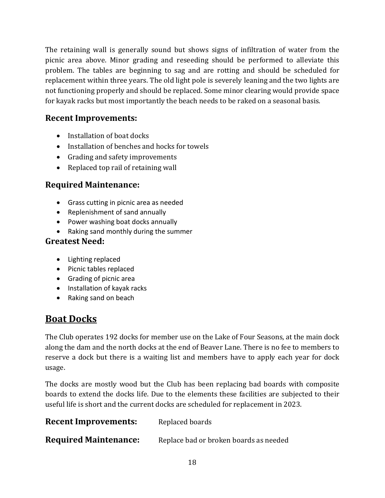The retaining wall is generally sound but shows signs of infiltration of water from the picnic area above. Minor grading and reseeding should be performed to alleviate this problem. The tables are beginning to sag and are rotting and should be scheduled for replacement within three years. The old light pole is severely leaning and the two lights are not functioning properly and should be replaced. Some minor clearing would provide space for kayak racks but most importantly the beach needs to be raked on a seasonal basis.

#### **Recent Improvements:**

- Installation of boat docks
- Installation of benches and hocks for towels
- Grading and safety improvements
- Replaced top rail of retaining wall

#### **Required Maintenance:**

- Grass cutting in picnic area as needed
- Replenishment of sand annually
- Power washing boat docks annually
- Raking sand monthly during the summer

#### **Greatest Need:**

- Lighting replaced
- Picnic tables replaced
- Grading of picnic area
- Installation of kayak racks
- Raking sand on beach

### **Boat Docks**

The Club operates 192 docks for member use on the Lake of Four Seasons, at the main dock along the dam and the north docks at the end of Beaver Lane. There is no fee to members to reserve a dock but there is a waiting list and members have to apply each year for dock usage.

The docks are mostly wood but the Club has been replacing bad boards with composite boards to extend the docks life. Due to the elements these facilities are subjected to their useful life is short and the current docks are scheduled for replacement in 2023.

| <b>Recent Improvements:</b>  | Replaced boards                        |
|------------------------------|----------------------------------------|
| <b>Required Maintenance:</b> | Replace bad or broken boards as needed |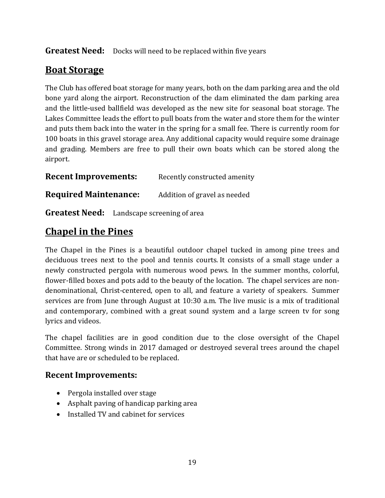#### Greatest Need: Docks will need to be replaced within five years

### **Boat Storage**

The Club has offered boat storage for many years, both on the dam parking area and the old bone yard along the airport. Reconstruction of the dam eliminated the dam parking area and the little-used ballfield was developed as the new site for seasonal boat storage. The Lakes Committee leads the effort to pull boats from the water and store them for the winter and puts them back into the water in the spring for a small fee. There is currently room for 100 boats in this gravel storage area. Any additional capacity would require some drainage and grading. Members are free to pull their own boats which can be stored along the airport.

**Recent Improvements:** Recently constructed amenity

**Required Maintenance:** Addition of gravel as needed

**Greatest Need:** Landscape screening of area

### **Chapel in the Pines**

The Chapel in the Pines is a beautiful outdoor chapel tucked in among pine trees and deciduous trees next to the pool and tennis courts. It consists of a small stage under a newly constructed pergola with numerous wood pews. In the summer months, colorful, flower-filled boxes and pots add to the beauty of the location. The chapel services are nondenominational, Christ-centered, open to all, and feature a variety of speakers. Summer services are from June through August at 10:30 a.m. The live music is a mix of traditional and contemporary, combined with a great sound system and a large screen tv for song lyrics and videos.

The chapel facilities are in good condition due to the close oversight of the Chapel Committee. Strong winds in 2017 damaged or destroyed several trees around the chapel that have are or scheduled to be replaced.

#### **Recent Improvements:**

- Pergola installed over stage
- Asphalt paving of handicap parking area
- Installed TV and cabinet for services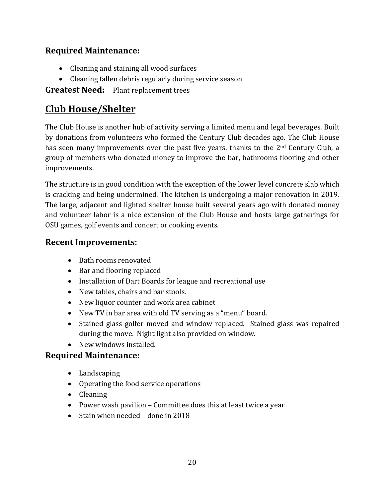#### **Required Maintenance:**

- Cleaning and staining all wood surfaces
- Cleaning fallen debris regularly during service season

**Greatest Need:** Plant replacement trees

### **Club House/Shelter**

The Club House is another hub of activity serving a limited menu and legal beverages. Built by donations from volunteers who formed the Century Club decades ago. The Club House has seen many improvements over the past five years, thanks to the  $2<sup>nd</sup>$  Century Club, a group of members who donated money to improve the bar, bathrooms flooring and other improvements.

The structure is in good condition with the exception of the lower level concrete slab which is cracking and being undermined. The kitchen is undergoing a major renovation in 2019. The large, adjacent and lighted shelter house built several years ago with donated money and volunteer labor is a nice extension of the Club House and hosts large gatherings for OSU games, golf events and concert or cooking events.

#### **Recent Improvements:**

- Bath rooms renovated
- Bar and flooring replaced
- Installation of Dart Boards for league and recreational use
- New tables, chairs and bar stools.
- New liquor counter and work area cabinet
- New TV in bar area with old TV serving as a "menu" board.
- Stained glass golfer moved and window replaced. Stained glass was repaired during the move. Night light also provided on window.
- New windows installed.

#### **Required Maintenance:**

- Landscaping
- Operating the food service operations
- Cleaning
- Power wash pavilion Committee does this at least twice a year
- Stain when needed done in 2018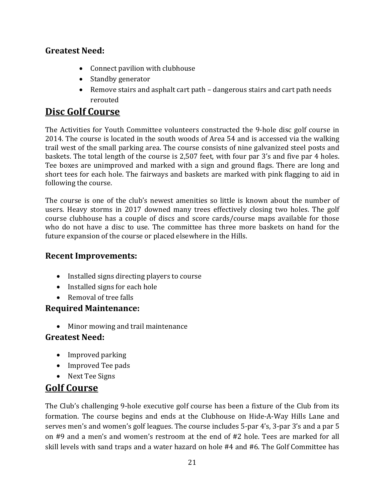#### **Greatest Need:**

- Connect pavilion with clubhouse
- Standby generator
- Remove stairs and asphalt cart path dangerous stairs and cart path needs rerouted

### **Disc Golf Course**

The Activities for Youth Committee volunteers constructed the 9-hole disc golf course in 2014. The course is located in the south woods of Area 54 and is accessed via the walking trail west of the small parking area. The course consists of nine galvanized steel posts and baskets. The total length of the course is 2,507 feet, with four par 3's and five par 4 holes. Tee boxes are unimproved and marked with a sign and ground flags. There are long and short tees for each hole. The fairways and baskets are marked with pink flagging to aid in following the course.

The course is one of the club's newest amenities so little is known about the number of users. Heavy storms in 2017 downed many trees effectively closing two holes. The golf course clubhouse has a couple of discs and score cards/course maps available for those who do not have a disc to use. The committee has three more baskets on hand for the future expansion of the course or placed elsewhere in the Hills.

#### **Recent Improvements:**

- Installed signs directing players to course
- Installed signs for each hole
- Removal of tree falls

#### **Required Maintenance:**

• Minor mowing and trail maintenance

#### **Greatest Need:**

- Improved parking
- Improved Tee pads
- Next Tee Signs

### **Golf Course**

The Club's challenging 9-hole executive golf course has been a fixture of the Club from its formation. The course begins and ends at the Clubhouse on Hide-A-Way Hills Lane and serves men's and women's golf leagues. The course includes 5-par 4's, 3-par 3's and a par 5 on #9 and a men's and women's restroom at the end of #2 hole. Tees are marked for all skill levels with sand traps and a water hazard on hole #4 and #6. The Golf Committee has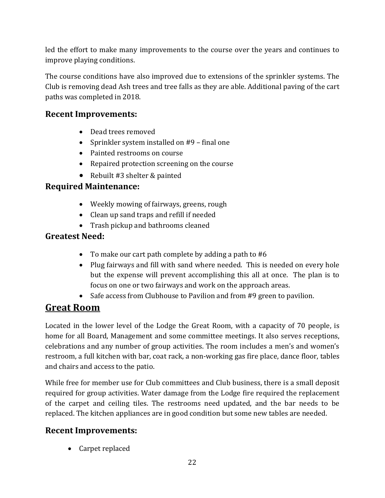led the effort to make many improvements to the course over the years and continues to improve playing conditions.

The course conditions have also improved due to extensions of the sprinkler systems. The Club is removing dead Ash trees and tree falls as they are able. Additional paving of the cart paths was completed in 2018.

#### **Recent Improvements:**

- Dead trees removed
- Sprinkler system installed on #9 final one
- Painted restrooms on course
- Repaired protection screening on the course
- Rebuilt #3 shelter & painted

#### **Required Maintenance:**

- Weekly mowing of fairways, greens, rough
- Clean up sand traps and refill if needed
- Trash pickup and bathrooms cleaned

#### **Greatest Need:**

- To make our cart path complete by adding a path to #6
- Plug fairways and fill with sand where needed. This is needed on every hole but the expense will prevent accomplishing this all at once. The plan is to focus on one or two fairways and work on the approach areas.
- Safe access from Clubhouse to Pavilion and from #9 green to pavilion.

### **Great Room**

Located in the lower level of the Lodge the Great Room, with a capacity of 70 people, is home for all Board, Management and some committee meetings. It also serves receptions, celebrations and any number of group activities. The room includes a men's and women's restroom, a full kitchen with bar, coat rack, a non-working gas fire place, dance floor, tables and chairs and access to the patio.

While free for member use for Club committees and Club business, there is a small deposit required for group activities. Water damage from the Lodge fire required the replacement of the carpet and ceiling tiles. The restrooms need updated, and the bar needs to be replaced. The kitchen appliances are in good condition but some new tables are needed.

#### **Recent Improvements:**

• Carpet replaced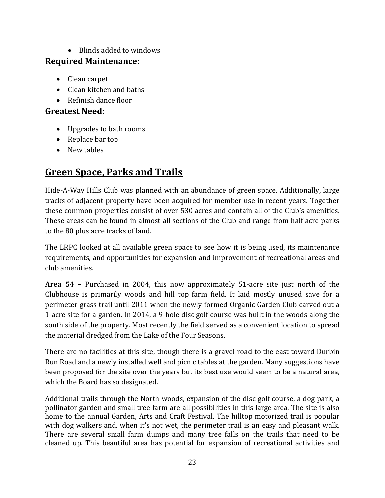• Blinds added to windows

#### **Required Maintenance:**

- Clean carpet
- Clean kitchen and baths
- Refinish dance floor

#### **Greatest Need:**

- Upgrades to bath rooms
- Replace bar top
- New tables

### **Green Space, Parks and Trails**

Hide-A-Way Hills Club was planned with an abundance of green space. Additionally, large tracks of adjacent property have been acquired for member use in recent years. Together these common properties consist of over 530 acres and contain all of the Club's amenities. These areas can be found in almost all sections of the Club and range from half acre parks to the 80 plus acre tracks of land.

The LRPC looked at all available green space to see how it is being used, its maintenance requirements, and opportunities for expansion and improvement of recreational areas and club amenities.

**Area 54 –** Purchased in 2004, this now approximately 51-acre site just north of the Clubhouse is primarily woods and hill top farm field. It laid mostly unused save for a perimeter grass trail until 2011 when the newly formed Organic Garden Club carved out a 1-acre site for a garden. In 2014, a 9-hole disc golf course was built in the woods along the south side of the property. Most recently the field served as a convenient location to spread the material dredged from the Lake of the Four Seasons.

There are no facilities at this site, though there is a gravel road to the east toward Durbin Run Road and a newly installed well and picnic tables at the garden. Many suggestions have been proposed for the site over the years but its best use would seem to be a natural area, which the Board has so designated.

Additional trails through the North woods, expansion of the disc golf course, a dog park, a pollinator garden and small tree farm are all possibilities in this large area. The site is also home to the annual Garden, Arts and Craft Festival. The hilltop motorized trail is popular with dog walkers and, when it's not wet, the perimeter trail is an easy and pleasant walk. There are several small farm dumps and many tree falls on the trails that need to be cleaned up. This beautiful area has potential for expansion of recreational activities and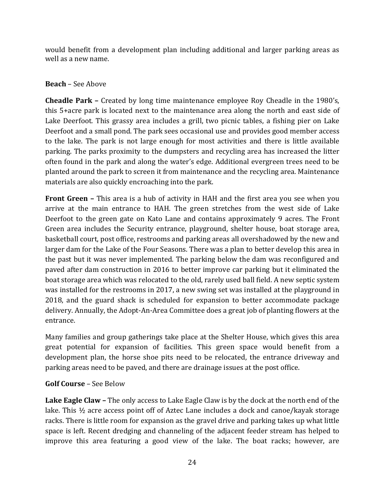would benefit from a development plan including additional and larger parking areas as well as a new name.

#### **Beach** – See Above

**Cheadle Park –** Created by long time maintenance employee Roy Cheadle in the 1980's, this 5+acre park is located next to the maintenance area along the north and east side of Lake Deerfoot. This grassy area includes a grill, two picnic tables, a fishing pier on Lake Deerfoot and a small pond. The park sees occasional use and provides good member access to the lake. The park is not large enough for most activities and there is little available parking. The parks proximity to the dumpsters and recycling area has increased the litter often found in the park and along the water's edge. Additional evergreen trees need to be planted around the park to screen it from maintenance and the recycling area. Maintenance materials are also quickly encroaching into the park.

**Front Green –** This area is a hub of activity in HAH and the first area you see when you arrive at the main entrance to HAH. The green stretches from the west side of Lake Deerfoot to the green gate on Kato Lane and contains approximately 9 acres. The Front Green area includes the Security entrance, playground, shelter house, boat storage area, basketball court, post office, restrooms and parking areas all overshadowed by the new and larger dam for the Lake of the Four Seasons. There was a plan to better develop this area in the past but it was never implemented. The parking below the dam was reconfigured and paved after dam construction in 2016 to better improve car parking but it eliminated the boat storage area which was relocated to the old, rarely used ball field. A new septic system was installed for the restrooms in 2017, a new swing set was installed at the playground in 2018, and the guard shack is scheduled for expansion to better accommodate package delivery. Annually, the Adopt-An-Area Committee does a great job of planting flowers at the entrance.

Many families and group gatherings take place at the Shelter House, which gives this area great potential for expansion of facilities. This green space would benefit from a development plan, the horse shoe pits need to be relocated, the entrance driveway and parking areas need to be paved, and there are drainage issues at the post office.

#### **Golf Course** – See Below

**Lake Eagle Claw –** The only access to Lake Eagle Claw is by the dock at the north end of the lake. This ½ acre access point off of Aztec Lane includes a dock and canoe/kayak storage racks. There is little room for expansion as the gravel drive and parking takes up what little space is left. Recent dredging and channeling of the adjacent feeder stream has helped to improve this area featuring a good view of the lake. The boat racks; however, are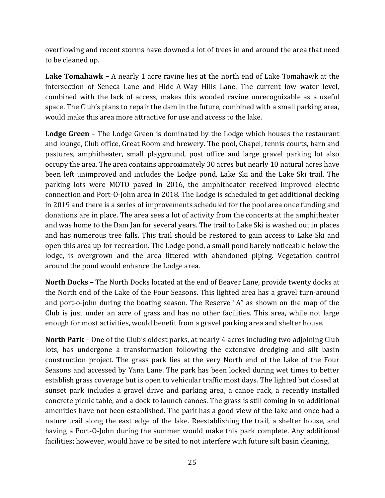overflowing and recent storms have downed a lot of trees in and around the area that need to be cleaned up.

**Lake Tomahawk –** A nearly 1 acre ravine lies at the north end of Lake Tomahawk at the intersection of Seneca Lane and Hide-A-Way Hills Lane. The current low water level, combined with the lack of access, makes this wooded ravine unrecognizable as a useful space. The Club's plans to repair the dam in the future, combined with a small parking area, would make this area more attractive for use and access to the lake.

**Lodge Green –** The Lodge Green is dominated by the Lodge which houses the restaurant and lounge, Club office, Great Room and brewery. The pool, Chapel, tennis courts, barn and pastures, amphitheater, small playground, post office and large gravel parking lot also occupy the area. The area contains approximately 30 acres but nearly 10 natural acres have been left unimproved and includes the Lodge pond, Lake Ski and the Lake Ski trail. The parking lots were MOTO paved in 2016, the amphitheater received improved electric connection and Port-O-John area in 2018. The Lodge is scheduled to get additional decking in 2019 and there is a series of improvements scheduled for the pool area once funding and donations are in place. The area sees a lot of activity from the concerts at the amphitheater and was home to the Dam Jan for several years. The trail to Lake Ski is washed out in places and has numerous tree falls. This trail should be restored to gain access to Lake Ski and open this area up for recreation. The Lodge pond, a small pond barely noticeable below the lodge, is overgrown and the area littered with abandoned piping. Vegetation control around the pond would enhance the Lodge area.

**North Docks –** The North Docks located at the end of Beaver Lane, provide twenty docks at the North end of the Lake of the Four Seasons. This lighted area has a gravel turn-around and port-o-john during the boating season. The Reserve "A" as shown on the map of the Club is just under an acre of grass and has no other facilities. This area, while not large enough for most activities, would benefit from a gravel parking area and shelter house.

**North Park –** One of the Club's oldest parks, at nearly 4 acres including two adjoining Club lots, has undergone a transformation following the extensive dredging and silt basin construction project. The grass park lies at the very North end of the Lake of the Four Seasons and accessed by Yana Lane. The park has been locked during wet times to better establish grass coverage but is open to vehicular traffic most days. The lighted but closed at sunset park includes a gravel drive and parking area, a canoe rack, a recently installed concrete picnic table, and a dock to launch canoes. The grass is still coming in so additional amenities have not been established. The park has a good view of the lake and once had a nature trail along the east edge of the lake. Reestablishing the trail, a shelter house, and having a Port-O-John during the summer would make this park complete. Any additional facilities; however, would have to be sited to not interfere with future silt basin cleaning.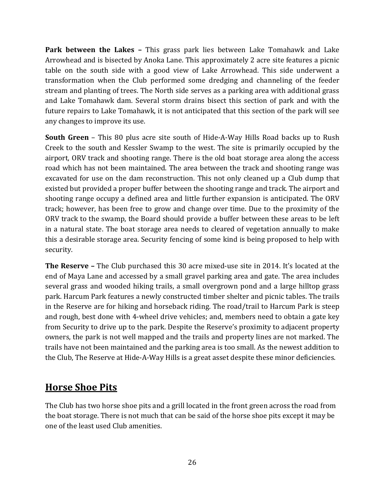**Park between the Lakes –** This grass park lies between Lake Tomahawk and Lake Arrowhead and is bisected by Anoka Lane. This approximately 2 acre site features a picnic table on the south side with a good view of Lake Arrowhead. This side underwent a transformation when the Club performed some dredging and channeling of the feeder stream and planting of trees. The North side serves as a parking area with additional grass and Lake Tomahawk dam. Several storm drains bisect this section of park and with the future repairs to Lake Tomahawk, it is not anticipated that this section of the park will see any changes to improve its use.

**South Green** – This 80 plus acre site south of Hide-A-Way Hills Road backs up to Rush Creek to the south and Kessler Swamp to the west. The site is primarily occupied by the airport, ORV track and shooting range. There is the old boat storage area along the access road which has not been maintained. The area between the track and shooting range was excavated for use on the dam reconstruction. This not only cleaned up a Club dump that existed but provided a proper buffer between the shooting range and track. The airport and shooting range occupy a defined area and little further expansion is anticipated. The ORV track; however, has been free to grow and change over time. Due to the proximity of the ORV track to the swamp, the Board should provide a buffer between these areas to be left in a natural state. The boat storage area needs to cleared of vegetation annually to make this a desirable storage area. Security fencing of some kind is being proposed to help with security.

**The Reserve –** The Club purchased this 30 acre mixed-use site in 2014. It's located at the end of Maya Lane and accessed by a small gravel parking area and gate. The area includes several grass and wooded hiking trails, a small overgrown pond and a large hilltop grass park. Harcum Park features a newly constructed timber shelter and picnic tables. The trails in the Reserve are for hiking and horseback riding. The road/trail to Harcum Park is steep and rough, best done with 4-wheel drive vehicles; and, members need to obtain a gate key from Security to drive up to the park. Despite the Reserve's proximity to adjacent property owners, the park is not well mapped and the trails and property lines are not marked. The trails have not been maintained and the parking area is too small. As the newest addition to the Club, The Reserve at Hide-A-Way Hills is a great asset despite these minor deficiencies.

### **Horse Shoe Pits**

The Club has two horse shoe pits and a grill located in the front green across the road from the boat storage. There is not much that can be said of the horse shoe pits except it may be one of the least used Club amenities.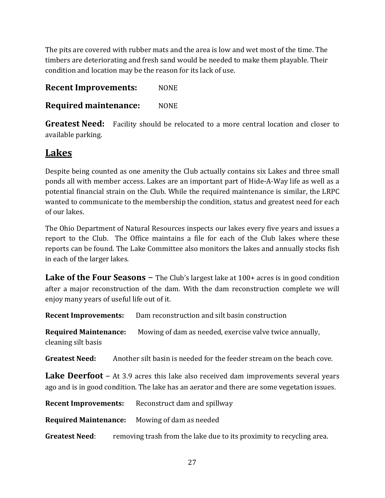The pits are covered with rubber mats and the area is low and wet most of the time. The timbers are deteriorating and fresh sand would be needed to make them playable. Their condition and location may be the reason for its lack of use.

**Recent Improvements:** NONE

**Required maintenance:** NONE

**Greatest Need:** Facility should be relocated to a more central location and closer to available parking.

### **Lakes**

Despite being counted as one amenity the Club actually contains six Lakes and three small ponds all with member access. Lakes are an important part of Hide-A-Way life as well as a potential financial strain on the Club. While the required maintenance is similar, the LRPC wanted to communicate to the membership the condition, status and greatest need for each of our lakes.

The Ohio Department of Natural Resources inspects our lakes every five years and issues a report to the Club. The Office maintains a file for each of the Club lakes where these reports can be found. The Lake Committee also monitors the lakes and annually stocks fish in each of the larger lakes.

**Lake of the Four Seasons** – The Club's largest lake at 100+ acres is in good condition after a major reconstruction of the dam. With the dam reconstruction complete we will enjoy many years of useful life out of it.

**Recent Improvements:** Dam reconstruction and silt basin construction

**Required Maintenance:** Mowing of dam as needed, exercise valve twice annually, cleaning silt basis

**Greatest Need:** Another silt basin is needed for the feeder stream on the beach cove.

**Lake Deerfoot** – At 3.9 acres this lake also received dam improvements several years ago and is in good condition. The lake has an aerator and there are some vegetation issues.

**Recent Improvements:** Reconstruct dam and spillway

**Required Maintenance:** Mowing of dam as needed

**Greatest Need:** removing trash from the lake due to its proximity to recycling area.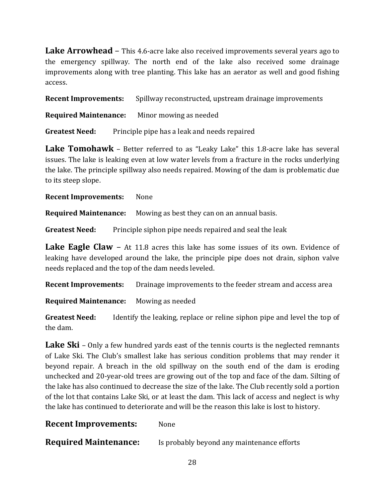**Lake Arrowhead** – This 4.6-acre lake also received improvements several years ago to the emergency spillway. The north end of the lake also received some drainage improvements along with tree planting. This lake has an aerator as well and good fishing access.

**Recent Improvements:** Spillway reconstructed, upstream drainage improvements

**Required Maintenance:** Minor mowing as needed

**Greatest Need:** Principle pipe has a leak and needs repaired

**Lake Tomohawk** – Better referred to as "Leaky Lake" this 1.8-acre lake has several issues. The lake is leaking even at low water levels from a fracture in the rocks underlying the lake. The principle spillway also needs repaired. Mowing of the dam is problematic due to its steep slope.

**Recent Improvements:** None

**Required Maintenance:** Mowing as best they can on an annual basis.

**Greatest Need:** Principle siphon pipe needs repaired and seal the leak

**Lake Eagle Claw** – At 11.8 acres this lake has some issues of its own. Evidence of leaking have developed around the lake, the principle pipe does not drain, siphon valve needs replaced and the top of the dam needs leveled.

**Recent Improvements:** Drainage improvements to the feeder stream and access area

**Required Maintenance:** Mowing as needed

**Greatest Need:** Identify the leaking, replace or reline siphon pipe and level the top of the dam.

**Lake Ski** – Only a few hundred yards east of the tennis courts is the neglected remnants of Lake Ski. The Club's smallest lake has serious condition problems that may render it beyond repair. A breach in the old spillway on the south end of the dam is eroding unchecked and 20-year-old trees are growing out of the top and face of the dam. Silting of the lake has also continued to decrease the size of the lake. The Club recently sold a portion of the lot that contains Lake Ski, or at least the dam. This lack of access and neglect is why the lake has continued to deteriorate and will be the reason this lake is lost to history.

**Recent Improvements:** None

**Required Maintenance:** Is probably beyond any maintenance efforts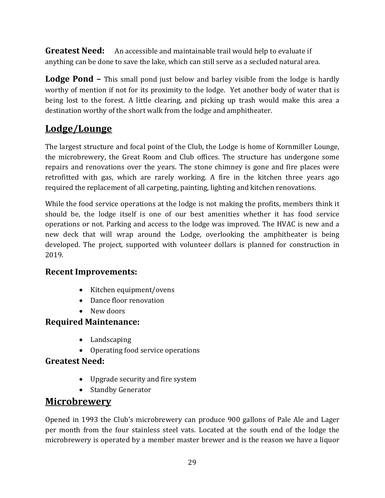**Greatest Need:** An accessible and maintainable trail would help to evaluate if anything can be done to save the lake, which can still serve as a secluded natural area.

**Lodge Pond –** This small pond just below and barley visible from the lodge is hardly worthy of mention if not for its proximity to the lodge. Yet another body of water that is being lost to the forest. A little clearing, and picking up trash would make this area a destination worthy of the short walk from the lodge and amphitheater.

### **Lodge/Lounge**

The largest structure and focal point of the Club, the Lodge is home of Kornmiller Lounge, the microbrewery, the Great Room and Club offices. The structure has undergone some repairs and renovations over the years. The stone chimney is gone and fire places were retrofitted with gas, which are rarely working. A fire in the kitchen three years ago required the replacement of all carpeting, painting, lighting and kitchen renovations.

While the food service operations at the lodge is not making the profits, members think it should be, the lodge itself is one of our best amenities whether it has food service operations or not. Parking and access to the lodge was improved. The HVAC is new and a new deck that will wrap around the Lodge, overlooking the amphitheater is being developed. The project, supported with volunteer dollars is planned for construction in 2019.

#### **Recent Improvements:**

- Kitchen equipment/ovens
- Dance floor renovation
- New doors

#### **Required Maintenance:**

- Landscaping
- Operating food service operations

#### **Greatest Need:**

- Upgrade security and fire system
- Standby Generator

#### **Microbrewery**

Opened in 1993 the Club's microbrewery can produce 900 gallons of Pale Ale and Lager per month from the four stainless steel vats. Located at the south end of the lodge the microbrewery is operated by a member master brewer and is the reason we have a liquor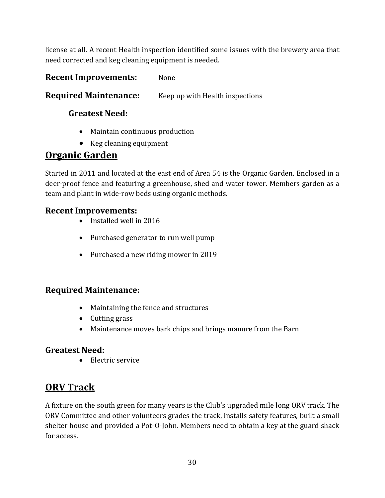license at all. A recent Health inspection identified some issues with the brewery area that need corrected and keg cleaning equipment is needed.

#### **Recent Improvements:** None

#### **Required Maintenance:** Keep up with Health inspections

#### **Greatest Need:**

- Maintain continuous production
- Keg cleaning equipment

### **Organic Garden**

Started in 2011 and located at the east end of Area 54 is the Organic Garden. Enclosed in a deer-proof fence and featuring a greenhouse, shed and water tower. Members garden as a team and plant in wide-row beds using organic methods.

#### **Recent Improvements:**

- Installed well in 2016
- Purchased generator to run well pump
- Purchased a new riding mower in 2019

#### **Required Maintenance:**

- Maintaining the fence and structures
- Cutting grass
- Maintenance moves bark chips and brings manure from the Barn

#### **Greatest Need:**

• Electric service

### **ORV Track**

A fixture on the south green for many years is the Club's upgraded mile long ORV track. The ORV Committee and other volunteers grades the track, installs safety features, built a small shelter house and provided a Pot-O-John. Members need to obtain a key at the guard shack for access.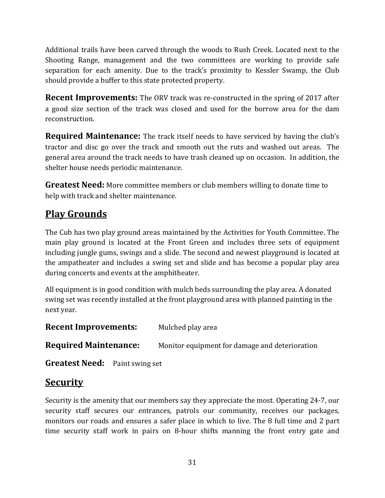Additional trails have been carved through the woods to Rush Creek. Located next to the Shooting Range, management and the two committees are working to provide safe separation for each amenity. Due to the track's proximity to Kessler Swamp, the Club should provide a buffer to this state protected property.

**Recent Improvements:** The ORV track was re-constructed in the spring of 2017 after a good size section of the track was closed and used for the borrow area for the dam reconstruction.

**Required Maintenance:** The track itself needs to have serviced by having the club's tractor and disc go over the track and smooth out the ruts and washed out areas. The general area around the track needs to have trash cleaned up on occasion. In addition, the shelter house needs periodic maintenance.

**Greatest Need:** More committee members or club members willing to donate time to help with track and shelter maintenance.

### **Play Grounds**

The Cub has two play ground areas maintained by the Activities for Youth Committee. The main play ground is located at the Front Green and includes three sets of equipment including jungle gums, swings and a slide. The second and newest playground is located at the ampatheater and includes a swing set and slide and has become a popular play area during concerts and events at the amphitheater.

All equipment is in good condition with mulch beds surrounding the play area. A donated swing set was recently installed at the front playground area with planned painting in the next year.

**Recent Improvements:** Mulched play area

**Required Maintenance:** Monitor equipment for damage and deterioration

**Greatest Need:** Paint swing set

### **Security**

Security is the amenity that our members say they appreciate the most. Operating 24-7, our security staff secures our entrances, patrols our community, receives our packages, monitors our roads and ensures a safer place in which to live. The 8 full time and 2 part time security staff work in pairs on 8-hour shifts manning the front entry gate and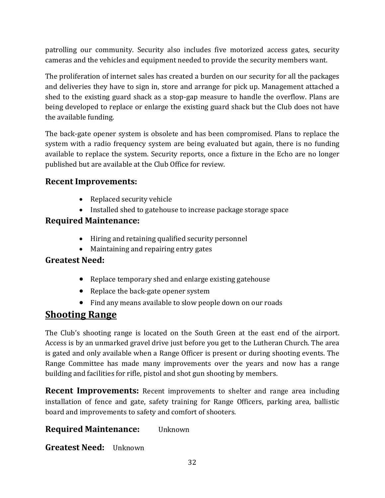patrolling our community. Security also includes five motorized access gates, security cameras and the vehicles and equipment needed to provide the security members want.

The proliferation of internet sales has created a burden on our security for all the packages and deliveries they have to sign in, store and arrange for pick up. Management attached a shed to the existing guard shack as a stop-gap measure to handle the overflow. Plans are being developed to replace or enlarge the existing guard shack but the Club does not have the available funding.

The back-gate opener system is obsolete and has been compromised. Plans to replace the system with a radio frequency system are being evaluated but again, there is no funding available to replace the system. Security reports, once a fixture in the Echo are no longer published but are available at the Club Office for review.

#### **Recent Improvements:**

- Replaced security vehicle
- Installed shed to gatehouse to increase package storage space

#### **Required Maintenance:**

- Hiring and retaining qualified security personnel
- Maintaining and repairing entry gates

#### **Greatest Need:**

- Replace temporary shed and enlarge existing gatehouse
- Replace the back-gate opener system
- Find any means available to slow people down on our roads

### **Shooting Range**

The Club's shooting range is located on the South Green at the east end of the airport. Access is by an unmarked gravel drive just before you get to the Lutheran Church. The area is gated and only available when a Range Officer is present or during shooting events. The Range Committee has made many improvements over the years and now has a range building and facilities for rifle, pistol and shot gun shooting by members.

**Recent Improvements:** Recent improvements to shelter and range area including installation of fence and gate, safety training for Range Officers, parking area, ballistic board and improvements to safety and comfort of shooters.

#### **Required Maintenance:** Unknown

**Greatest Need:** Unknown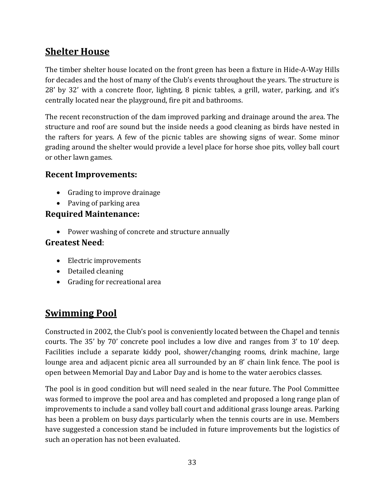### **Shelter House**

The timber shelter house located on the front green has been a fixture in Hide-A-Way Hills for decades and the host of many of the Club's events throughout the years. The structure is 28' by 32' with a concrete floor, lighting, 8 picnic tables, a grill, water, parking, and it's centrally located near the playground, fire pit and bathrooms.

The recent reconstruction of the dam improved parking and drainage around the area. The structure and roof are sound but the inside needs a good cleaning as birds have nested in the rafters for years. A few of the picnic tables are showing signs of wear. Some minor grading around the shelter would provide a level place for horse shoe pits, volley ball court or other lawn games.

#### **Recent Improvements:**

- Grading to improve drainage
- Paving of parking area

#### **Required Maintenance:**

• Power washing of concrete and structure annually

#### **Greatest Need**:

- Electric improvements
- Detailed cleaning
- Grading for recreational area

### **Swimming Pool**

Constructed in 2002, the Club's pool is conveniently located between the Chapel and tennis courts. The 35' by 70' concrete pool includes a low dive and ranges from 3' to 10' deep. Facilities include a separate kiddy pool, shower/changing rooms, drink machine, large lounge area and adjacent picnic area all surrounded by an 8' chain link fence. The pool is open between Memorial Day and Labor Day and is home to the water aerobics classes.

The pool is in good condition but will need sealed in the near future. The Pool Committee was formed to improve the pool area and has completed and proposed a long range plan of improvements to include a sand volley ball court and additional grass lounge areas. Parking has been a problem on busy days particularly when the tennis courts are in use. Members have suggested a concession stand be included in future improvements but the logistics of such an operation has not been evaluated.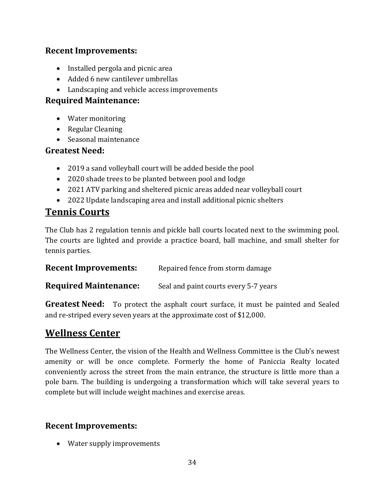#### **Recent Improvements:**

- Installed pergola and picnic area
- Added 6 new cantilever umbrellas
- Landscaping and vehicle access improvements

#### **Required Maintenance:**

- Water monitoring
- Regular Cleaning
- Seasonal maintenance

#### **Greatest Need:**

- 2019 a sand volleyball court will be added beside the pool
- 2020 shade trees to be planted between pool and lodge
- 2021 ATV parking and sheltered picnic areas added near volleyball court
- 2022 Update landscaping area and install additional picnic shelters

### **Tennis Courts**

The Club has 2 regulation tennis and pickle ball courts located next to the swimming pool. The courts are lighted and provide a practice board, ball machine, and small shelter for tennis parties.

| <b>Recent Improvements:</b> | Repaired fence from storm damage |
|-----------------------------|----------------------------------|
|-----------------------------|----------------------------------|

**Required Maintenance:** Seal and paint courts every 5-7 years

**Greatest Need:** To protect the asphalt court surface, it must be painted and Sealed and re-striped every seven years at the approximate cost of \$12,000.

#### **Wellness Center**

The Wellness Center, the vision of the Health and Wellness Committee is the Club's newest amenity or will be once complete. Formerly the home of Paniccia Realty located conveniently across the street from the main entrance, the structure is little more than a pole barn. The building is undergoing a transformation which will take several years to complete but will include weight machines and exercise areas.

#### **Recent Improvements:**

• Water supply improvements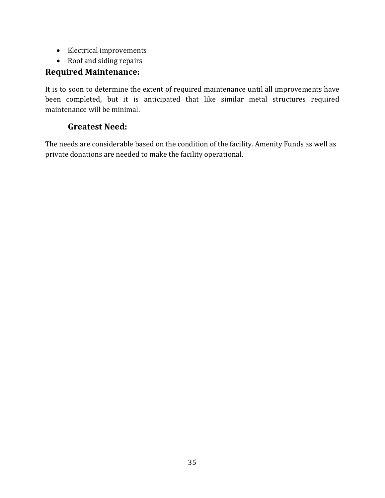- Electrical improvements
- Roof and siding repairs

#### **Required Maintenance:**

It is to soon to determine the extent of required maintenance until all improvements have been completed, but it is anticipated that like similar metal structures required maintenance will be minimal.

#### **Greatest Need:**

The needs are considerable based on the condition of the facility. Amenity Funds as well as private donations are needed to make the facility operational.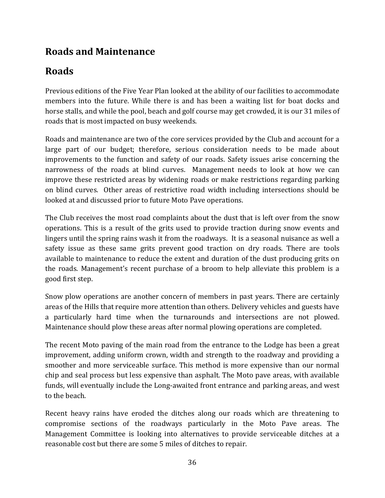### **Roads and Maintenance**

### **Roads**

Previous editions of the Five Year Plan looked at the ability of our facilities to accommodate members into the future. While there is and has been a waiting list for boat docks and horse stalls, and while the pool, beach and golf course may get crowded, it is our 31 miles of roads that is most impacted on busy weekends.

Roads and maintenance are two of the core services provided by the Club and account for a large part of our budget; therefore, serious consideration needs to be made about improvements to the function and safety of our roads. Safety issues arise concerning the narrowness of the roads at blind curves. Management needs to look at how we can improve these restricted areas by widening roads or make restrictions regarding parking on blind curves. Other areas of restrictive road width including intersections should be looked at and discussed prior to future Moto Pave operations.

The Club receives the most road complaints about the dust that is left over from the snow operations. This is a result of the grits used to provide traction during snow events and lingers until the spring rains wash it from the roadways. It is a seasonal nuisance as well a safety issue as these same grits prevent good traction on dry roads. There are tools available to maintenance to reduce the extent and duration of the dust producing grits on the roads. Management's recent purchase of a broom to help alleviate this problem is a good first step.

Snow plow operations are another concern of members in past years. There are certainly areas of the Hills that require more attention than others. Delivery vehicles and guests have a particularly hard time when the turnarounds and intersections are not plowed. Maintenance should plow these areas after normal plowing operations are completed.

The recent Moto paving of the main road from the entrance to the Lodge has been a great improvement, adding uniform crown, width and strength to the roadway and providing a smoother and more serviceable surface. This method is more expensive than our normal chip and seal process but less expensive than asphalt. The Moto pave areas, with available funds, will eventually include the Long-awaited front entrance and parking areas, and west to the beach.

Recent heavy rains have eroded the ditches along our roads which are threatening to compromise sections of the roadways particularly in the Moto Pave areas. The Management Committee is looking into alternatives to provide serviceable ditches at a reasonable cost but there are some 5 miles of ditches to repair.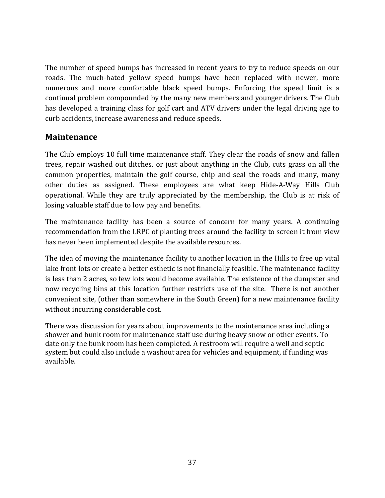The number of speed bumps has increased in recent years to try to reduce speeds on our roads. The much-hated yellow speed bumps have been replaced with newer, more numerous and more comfortable black speed bumps. Enforcing the speed limit is a continual problem compounded by the many new members and younger drivers. The Club has developed a training class for golf cart and ATV drivers under the legal driving age to curb accidents, increase awareness and reduce speeds.

#### **Maintenance**

The Club employs 10 full time maintenance staff. They clear the roads of snow and fallen trees, repair washed out ditches, or just about anything in the Club, cuts grass on all the common properties, maintain the golf course, chip and seal the roads and many, many other duties as assigned. These employees are what keep Hide-A-Way Hills Club operational. While they are truly appreciated by the membership, the Club is at risk of losing valuable staff due to low pay and benefits.

The maintenance facility has been a source of concern for many years. A continuing recommendation from the LRPC of planting trees around the facility to screen it from view has never been implemented despite the available resources.

The idea of moving the maintenance facility to another location in the Hills to free up vital lake front lots or create a better esthetic is not financially feasible. The maintenance facility is less than 2 acres, so few lots would become available. The existence of the dumpster and now recycling bins at this location further restricts use of the site. There is not another convenient site, (other than somewhere in the South Green) for a new maintenance facility without incurring considerable cost.

There was discussion for years about improvements to the maintenance area including a shower and bunk room for maintenance staff use during heavy snow or other events. To date only the bunk room has been completed. A restroom will require a well and septic system but could also include a washout area for vehicles and equipment, if funding was available.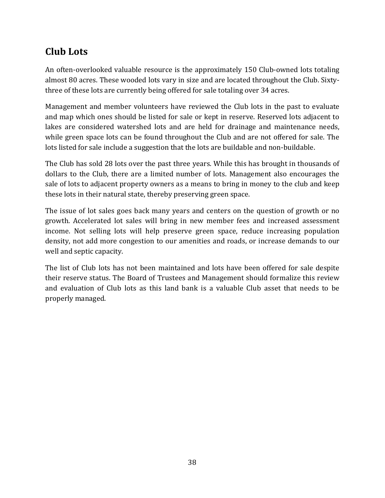### **Club Lots**

An often-overlooked valuable resource is the approximately 150 Club-owned lots totaling almost 80 acres. These wooded lots vary in size and are located throughout the Club. Sixtythree of these lots are currently being offered for sale totaling over 34 acres.

Management and member volunteers have reviewed the Club lots in the past to evaluate and map which ones should be listed for sale or kept in reserve. Reserved lots adjacent to lakes are considered watershed lots and are held for drainage and maintenance needs, while green space lots can be found throughout the Club and are not offered for sale. The lots listed for sale include a suggestion that the lots are buildable and non-buildable.

The Club has sold 28 lots over the past three years. While this has brought in thousands of dollars to the Club, there are a limited number of lots. Management also encourages the sale of lots to adjacent property owners as a means to bring in money to the club and keep these lots in their natural state, thereby preserving green space.

The issue of lot sales goes back many years and centers on the question of growth or no growth. Accelerated lot sales will bring in new member fees and increased assessment income. Not selling lots will help preserve green space, reduce increasing population density, not add more congestion to our amenities and roads, or increase demands to our well and septic capacity.

The list of Club lots has not been maintained and lots have been offered for sale despite their reserve status. The Board of Trustees and Management should formalize this review and evaluation of Club lots as this land bank is a valuable Club asset that needs to be properly managed.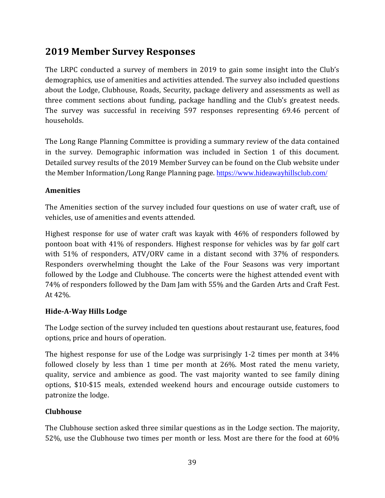### **2019 Member Survey Responses**

The LRPC conducted a survey of members in 2019 to gain some insight into the Club's demographics, use of amenities and activities attended. The survey also included questions about the Lodge, Clubhouse, Roads, Security, package delivery and assessments as well as three comment sections about funding, package handling and the Club's greatest needs. The survey was successful in receiving 597 responses representing 69.46 percent of households.

The Long Range Planning Committee is providing a summary review of the data contained in the survey. Demographic information was included in Section 1 of this document. Detailed survey results of the 2019 Member Survey can be found on the Club website under the Member Information/Long Range Planning page. <https://www.hideawayhillsclub.com/>

#### **Amenities**

The Amenities section of the survey included four questions on use of water craft, use of vehicles, use of amenities and events attended.

Highest response for use of water craft was kayak with 46% of responders followed by pontoon boat with 41% of responders. Highest response for vehicles was by far golf cart with 51% of responders, ATV/ORV came in a distant second with 37% of responders. Responders overwhelming thought the Lake of the Four Seasons was very important followed by the Lodge and Clubhouse. The concerts were the highest attended event with 74% of responders followed by the Dam Jam with 55% and the Garden Arts and Craft Fest. At 42%.

#### **Hide-A-Way Hills Lodge**

The Lodge section of the survey included ten questions about restaurant use, features, food options, price and hours of operation.

The highest response for use of the Lodge was surprisingly 1-2 times per month at 34% followed closely by less than 1 time per month at 26%. Most rated the menu variety, quality, service and ambience as good. The vast majority wanted to see family dining options, \$10-\$15 meals, extended weekend hours and encourage outside customers to patronize the lodge.

#### **Clubhouse**

The Clubhouse section asked three similar questions as in the Lodge section. The majority, 52%, use the Clubhouse two times per month or less. Most are there for the food at 60%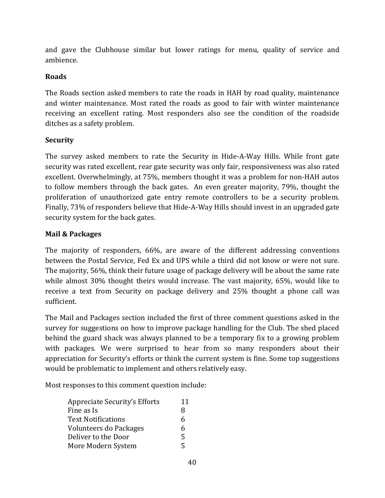and gave the Clubhouse similar but lower ratings for menu, quality of service and ambience.

#### **Roads**

The Roads section asked members to rate the roads in HAH by road quality, maintenance and winter maintenance. Most rated the roads as good to fair with winter maintenance receiving an excellent rating. Most responders also see the condition of the roadside ditches as a safety problem.

#### **Security**

The survey asked members to rate the Security in Hide-A-Way Hills. While front gate security was rated excellent, rear gate security was only fair, responsiveness was also rated excellent. Overwhelmingly, at 75%, members thought it was a problem for non-HAH autos to follow members through the back gates. An even greater majority, 79%, thought the proliferation of unauthorized gate entry remote controllers to be a security problem. Finally, 73% of responders believe that Hide-A-Way Hills should invest in an upgraded gate security system for the back gates.

#### **Mail & Packages**

The majority of responders, 66%, are aware of the different addressing conventions between the Postal Service, Fed Ex and UPS while a third did not know or were not sure. The majority, 56%, think their future usage of package delivery will be about the same rate while almost 30% thought theirs would increase. The vast majority, 65%, would like to receive a text from Security on package delivery and 25% thought a phone call was sufficient.

The Mail and Packages section included the first of three comment questions asked in the survey for suggestions on how to improve package handling for the Club. The shed placed behind the guard shack was always planned to be a temporary fix to a growing problem with packages. We were surprised to hear from so many responders about their appreciation for Security's efforts or think the current system is fine. Some top suggestions would be problematic to implement and others relatively easy.

Most responses to this comment question include:

| Appreciate Security's Efforts |   |
|-------------------------------|---|
| Fine as Is                    | 8 |
| Text Notifications            | 6 |
| Volunteers do Packages        | 6 |
| Deliver to the Door           | 5 |
| More Modern System            | 5 |
|                               |   |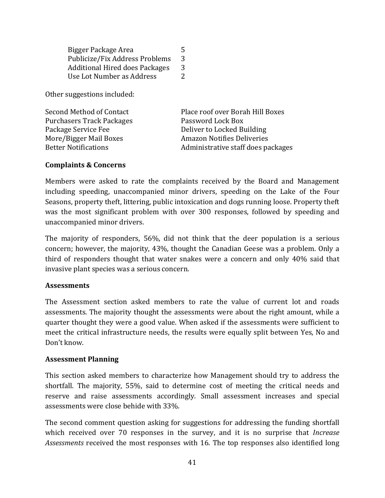Bigger Package Area 5 Publicize/Fix Address Problems 3<br>Additional Hired does Packages 3 Additional Hired does Packages 3<br>Use Lot Number as Address 2 Use Lot Number as Address 2

Other suggestions included:

| Second Method of Contact         | Place roof over Borah Hill Boxes   |
|----------------------------------|------------------------------------|
| <b>Purchasers Track Packages</b> | Password Lock Box                  |
| Package Service Fee              | Deliver to Locked Building         |
| More/Bigger Mail Boxes           | <b>Amazon Notifies Deliveries</b>  |
| <b>Better Notifications</b>      | Administrative staff does packages |
|                                  |                                    |

#### **Complaints & Concerns**

Members were asked to rate the complaints received by the Board and Management including speeding, unaccompanied minor drivers, speeding on the Lake of the Four Seasons, property theft, littering, public intoxication and dogs running loose. Property theft was the most significant problem with over 300 responses, followed by speeding and unaccompanied minor drivers.

The majority of responders, 56%, did not think that the deer population is a serious concern; however, the majority, 43%, thought the Canadian Geese was a problem. Only a third of responders thought that water snakes were a concern and only 40% said that invasive plant species was a serious concern.

#### **Assessments**

The Assessment section asked members to rate the value of current lot and roads assessments. The majority thought the assessments were about the right amount, while a quarter thought they were a good value. When asked if the assessments were sufficient to meet the critical infrastructure needs, the results were equally split between Yes, No and Don't know.

#### **Assessment Planning**

This section asked members to characterize how Management should try to address the shortfall. The majority, 55%, said to determine cost of meeting the critical needs and reserve and raise assessments accordingly. Small assessment increases and special assessments were close behide with 33%.

The second comment question asking for suggestions for addressing the funding shortfall which received over 70 responses in the survey, and it is no surprise that *Increase Assessments* received the most responses with 16. The top responses also identified long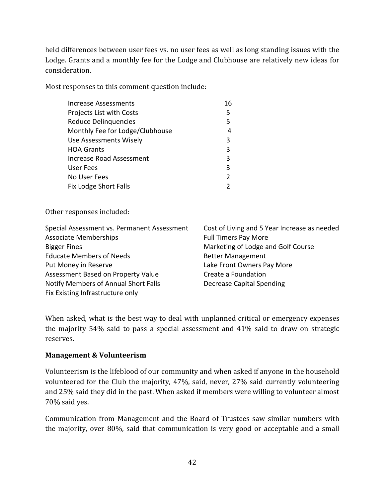held differences between user fees vs. no user fees as well as long standing issues with the Lodge. Grants and a monthly fee for the Lodge and Clubhouse are relatively new ideas for consideration.

Most responses to this comment question include:

| Increase Assessments            | 16            |
|---------------------------------|---------------|
| Projects List with Costs        | 5             |
| <b>Reduce Delinquencies</b>     | 5             |
| Monthly Fee for Lodge/Clubhouse |               |
| Use Assessments Wisely          | 3             |
| <b>HOA Grants</b>               | 3             |
| <b>Increase Road Assessment</b> | 3             |
| User Fees                       | 3             |
| No User Fees                    | $\mathfrak z$ |
| Fix Lodge Short Falls           |               |

Other responses included:

| Special Assessment vs. Permanent Assessment | Cost of Living and 5 Year Increase as needed |
|---------------------------------------------|----------------------------------------------|
| <b>Associate Memberships</b>                | <b>Full Timers Pay More</b>                  |
| <b>Bigger Fines</b>                         | Marketing of Lodge and Golf Course           |
| <b>Educate Members of Needs</b>             | <b>Better Management</b>                     |
| Put Money in Reserve                        | Lake Front Owners Pay More                   |
| Assessment Based on Property Value          | Create a Foundation                          |
| Notify Members of Annual Short Falls        | <b>Decrease Capital Spending</b>             |
| Fix Existing Infrastructure only            |                                              |

When asked, what is the best way to deal with unplanned critical or emergency expenses the majority 54% said to pass a special assessment and 41% said to draw on strategic reserves.

#### **Management & Volunteerism**

Volunteerism is the lifeblood of our community and when asked if anyone in the household volunteered for the Club the majority, 47%, said, never, 27% said currently volunteering and 25% said they did in the past. When asked if members were willing to volunteer almost 70% said yes.

Communication from Management and the Board of Trustees saw similar numbers with the majority, over 80%, said that communication is very good or acceptable and a small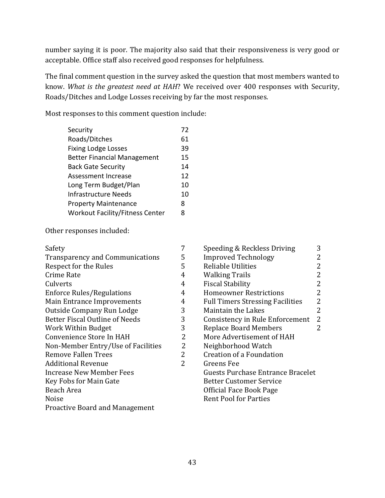number saying it is poor. The majority also said that their responsiveness is very good or acceptable. Office staff also received good responses for helpfulness.

The final comment question in the survey asked the question that most members wanted to know. *What is the greatest need at HAH*? We received over 400 responses with Security, Roads/Ditches and Lodge Losses receiving by far the most responses.

Most responses to this comment question include:

| Security                               | 72 |
|----------------------------------------|----|
| Roads/Ditches                          | 61 |
| <b>Fixing Lodge Losses</b>             | 39 |
| <b>Better Financial Management</b>     | 15 |
| <b>Back Gate Security</b>              | 14 |
| Assessment Increase                    | 12 |
| Long Term Budget/Plan                  | 10 |
| Infrastructure Needs                   | 10 |
| <b>Property Maintenance</b>            | 8  |
| <b>Workout Facility/Fitness Center</b> | 8  |

Other responses included:

| Safety                                 | 7 | Speeding & Reckless Driving             | 3              |
|----------------------------------------|---|-----------------------------------------|----------------|
| <b>Transparency and Communications</b> | 5 | <b>Improved Technology</b>              | 2              |
| Respect for the Rules                  | 5 | <b>Reliable Utilities</b>               | $\overline{2}$ |
| Crime Rate                             | 4 | <b>Walking Trails</b>                   | $\overline{2}$ |
| Culverts                               | 4 | <b>Fiscal Stability</b>                 | 2              |
| <b>Enforce Rules/Regulations</b>       | 4 | <b>Homeowner Restrictions</b>           | 2              |
| Main Entrance Improvements             | 4 | <b>Full Timers Stressing Facilities</b> | 2              |
| Outside Company Run Lodge              | 3 | <b>Maintain the Lakes</b>               | 2              |
| <b>Better Fiscal Outline of Needs</b>  | 3 | Consistency in Rule Enforcement         | $\overline{2}$ |
| Work Within Budget                     | 3 | <b>Replace Board Members</b>            | 2              |
| Convenience Store In HAH               | 2 | More Advertisement of HAH               |                |
| Non-Member Entry/Use of Facilities     | 2 | Neighborhood Watch                      |                |
| <b>Remove Fallen Trees</b>             | 2 | <b>Creation of a Foundation</b>         |                |
| <b>Additional Revenue</b>              |   | Greens Fee                              |                |
| Increase New Member Fees               |   | Guests Purchase Entrance Bracelet       |                |
| Key Fobs for Main Gate                 |   | <b>Better Customer Service</b>          |                |
| Beach Area                             |   | Official Face Book Page                 |                |
| Noise                                  |   | <b>Rent Pool for Parties</b>            |                |
| <b>Proactive Board and Management</b>  |   |                                         |                |
|                                        |   |                                         |                |